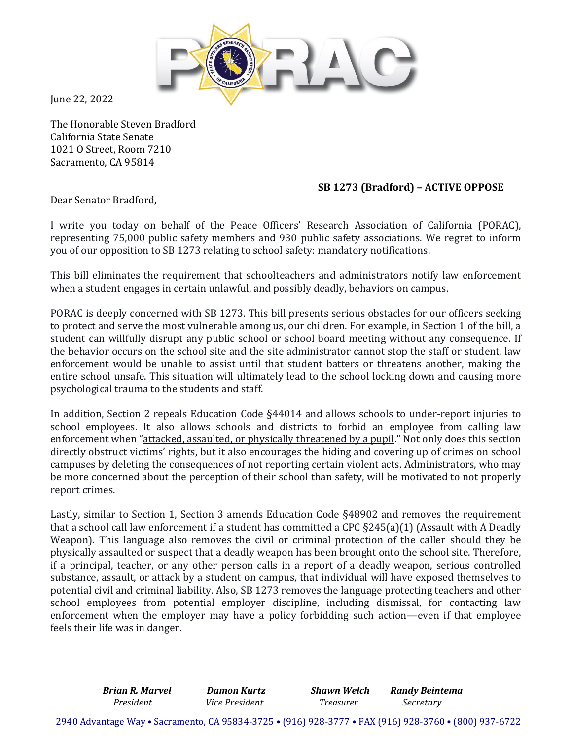

June 22, 2022

The Honorable Steven Bradford California State Senate 1021 O Street, Room 7210 Sacramento, CA 95814

## **SB 1273 (Bradford) – ACTIVE OPPOSE**

Dear Senator Bradford,

I write you today on behalf of the Peace Officers' Research Association of California (PORAC), representing 75,000 public safety members and 930 public safety associations. We regret to inform you of our opposition to SB 1273 relating to school safety: mandatory notifications.

This bill eliminates the requirement that schoolteachers and administrators notify law enforcement when a student engages in certain unlawful, and possibly deadly, behaviors on campus.

PORAC is deeply concerned with SB 1273. This bill presents serious obstacles for our officers seeking to protect and serve the most vulnerable among us, our children. For example, in Section 1 of the bill, a student can willfully disrupt any public school or school board meeting without any consequence. If the behavior occurs on the school site and the site administrator cannot stop the staff or student, law enforcement would be unable to assist until that student batters or threatens another, making the entire school unsafe. This situation will ultimately lead to the school locking down and causing more psychological trauma to the students and staff.

In addition, Section 2 repeals Education Code §44014 and allows schools to under-report injuries to school employees. It also allows schools and districts to forbid an employee from calling law enforcement when "attacked, assaulted, or physically threatened by a pupil." Not only does this section directly obstruct victims' rights, but it also encourages the hiding and covering up of crimes on school campuses by deleting the consequences of not reporting certain violent acts. Administrators, who may be more concerned about the perception of their school than safety, will be motivated to not properly report crimes.

Lastly, similar to Section 1, Section 3 amends Education Code §48902 and removes the requirement that a school call law enforcement if a student has committed a CPC §245(a)(1) (Assault with A Deadly Weapon). This language also removes the civil or criminal protection of the caller should they be physically assaulted or suspect that a deadly weapon has been brought onto the school site. Therefore, if a principal, teacher, or any other person calls in a report of a deadly weapon, serious controlled substance, assault, or attack by a student on campus, that individual will have exposed themselves to potential civil and criminal liability. Also, SB 1273 removes the language protecting teachers and other school employees from potential employer discipline, including dismissal, for contacting law enforcement when the employer may have a policy forbidding such action—even if that employee feels their life was in danger.

> *Brian R. Marvel Damon Kurtz Shawn Welch Randy Beintema President Vice President Treasurer Secretary*

2940 Advantage Way • Sacramento, CA 95834-3725 • (916) 928-3777 • FAX (916) 928-3760 • (800) 937-6722